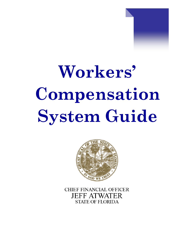



**CHIEF FINANCIAL OFFICER JEFF ATWATER STATE OF FLORIDA**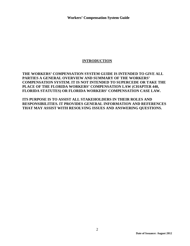## **INTRODUCTION**

**THE WORKERS' COMPENSATION SYSTEM GUIDE IS INTENDED TO GIVE ALL PARTIES A GENERAL OVERVIEW AND SUMMARY OF THE WORKERS' COMPENSATION SYSTEM. IT IS NOT INTENDED TO SUPERCEDE OR TAKE THE PLACE OF THE FLORIDA WORKERS' COMPENSATION LAW (CHAPTER 440, FLORIDA STATUTES) OR FLORIDA WORKERS' COMPENSATION CASE LAW.** 

**ITS PURPOSE IS TO ASSIST ALL STAKEHOLDERS IN THEIR ROLES AND RESPONSIBILITIES. IT PROVIDES GENERAL INFORMATION AND REFERENCES THAT MAY ASSIST WITH RESOLVING ISSUES AND ANSWERING QUESTIONS.**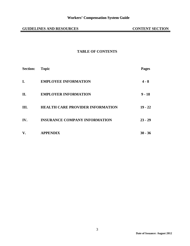## **TABLE OF CONTENTS**

| <b>Section:</b> | <b>Topic</b>                            | <b>Pages</b> |
|-----------------|-----------------------------------------|--------------|
| I.              | <b>EMPLOYEE INFORMATION</b>             | 4 - 8        |
| П.              | <b>EMPLOYER INFORMATION</b>             | $9 - 18$     |
| Ш.              | <b>HEALTH CARE PROVIDER INFORMATION</b> | $19 - 22$    |
| IV.             | <b>INSURANCE COMPANY INFORMATION</b>    | $23 - 29$    |
| V.              | <b>APPENDIX</b>                         | $30 - 36$    |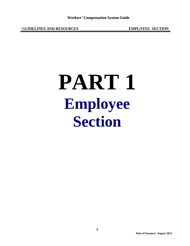## **PART 1 Employee Section**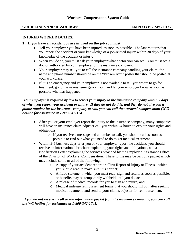#### **INJURED WORKER DUTIES:**

- **1. If you have an accident or are injured on the job you must:** 
	- Tell your employer you have been injured, as soon as possible. The law requires that you report the accident or your knowledge of a job-related injury within 30 days of your knowledge of the accident or injury.
	- When you do so, you must ask your employer what doctor you can see. You must see a doctor authorized by your employer or the insurance company.
	- Your employer may tell you to call the insurance company handling your claim; the name and phone number should be on the "Broken Arm" poster that should be posted at your workplace.
	- If it is an emergency and your employer is not available to tell you where to go for treatment, go to the nearest emergency room and let your employer know as soon as possible what has happened.

*Your employer is required by law to report your injury to the insurance company within 7 days of when you report your accident or injury. If they do not do this, and they do not give you a phone number for the insurance company to call, you can call the workers' compensation (WC) hotline for assistance at 1-800-342-1741.*

- After you or your employer report the injury to the insurance company, many companies will have an insurance claim adjuster call you within 24 hours to explain your rights and obligations.
	- o If you receive a message and a number to call, you should call as soon as possible to find out what you need to do to get medical treatment.
- Within 3-5 business days after you or your employer report the accident, you should receive an informational brochure explaining your rights and obligations, and a Notification Letter explaining the services provided by the Employee Assistance Office of the Division of Workers' Compensation. These forms may be part of a packet which may include some or all of the following:
	- o A copy of your accident report or "First Report of Injury or Illness," which you should read to make sure it is correct;
	- o A fraud statement, which you must read, sign and return as soon as possible, or benefits may be temporarily withheld until you do so;
	- o A release of medical records for you to sign and return; and
	- o Medical mileage reimbursement forms that you should fill out, after seeking medical treatment, and send to your claims adjuster for reimbursement.

*If you do not receive a call or the information packet from the insurance company, you can call the WC hotline for assistance at 1-800-342-1741.*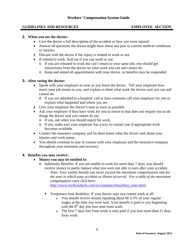#### **2. When you see the doctor:**

- Give the doctor a full description of the accident or how you were injured.
- Answer all questions the doctor might have about any past or current medical conditions or injuries.
- Discuss with the doctor if the injury is related to work or not.
- If related to work, find out if you can work or not.
	- o If you are released to work but can't return to your same job, you should get instructions from the doctor on what work you can and cannot do.
	- o Keep and attend all appointments with your doctor, or benefits may be suspended.

#### **3. After seeing the doctor:**

- Speak with your employer as soon as you leave the doctor. Tell your employer how much your job means to you, and explain to them what work the doctor said you can and cannot do.
	- o If you are admitted to a hospital, call or have someone call your employer for you to explain what happened and where you are.
- Give your employer the doctor's note as soon as possible.
- Ask your employer if they have work for you to return to that does not require you to do things the doctor said you cannot do yet.
	- o If yes, ask when you should report for work.
	- o If not, make sure your employer has a way to contact you if appropriate work becomes available.
- Contact the insurance company and let them know what the doctor said about your injuries and work status.
- You should continue to stay in contact with your employer and the insurance company throughout your treatment and recovery.

#### **4. Benefits you may receive:**

- **Money you may be entitled to**:
	- o Indemnity Benefits: If you are unable to work for more than 7 days, you should receive money to partly replace what you were not able to earn after your accident. *Note: Your weekly benefit can never exceed the maximum compensation rate for the year in which your accident or illness occurred. For a table of the maximum compensation rates click here:*

[http://www.myfloridacfo.com/wc/statistics/bma/bma\\_rates.html](http://www.myfloridacfo.com/wc/statistics/bma/bma_rates.html)

- Temporary total disability: If your doctor says you cannot work at all:
	- $\bullet$  You should receive money equaling about 66 2/3% of your regular wages at the time you were hurt. Your benefit is paid to you beginning with the  $8<sup>th</sup>$  day you lose time from work.
	- The first 7 days lost from work is only paid if you lose more than 21 days from work.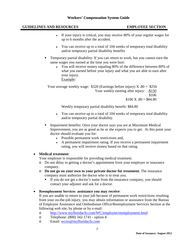- ♦ If your injury is critical, you may receive 80% of your regular wages for up to 6 months after the accident.
- ♦ You can receive up to a total of 104 weeks of temporary total disability and/or temporary partial disability benefits
- Temporary partial disability: If you can return to work, but you cannot earn the same wages you earned at the time you were hurt:
	- ♦ You will receive money equaling 80% of the difference between 80% of what you earned before your injury and what you are able to earn after your injury. Example:

Your average weekly wage:  $$320$  (Earnings before injury) X  $.80 = $256$ Your weekly earning after injury: - \$150 \$106  $$106 \text{ X}$ .80 = \$84.80

Weekly temporary partial disability benefit: \$84.80

- ♦ You can receive up to a total of 104 weeks of temporary total disability and/or temporary partial disability.
- Impairment benefits: Once your doctor says you are at Maximum Medical Improvement, you are as good as he or she expects you to get. At this point your doctor should evaluate you for:
	- ♦ Possible permanent work restrictions and,
	- ♦ A permanent impairment rating. If you receive a permanent impairment rating, you will receive money based on that rating.

## • **Medical treatment**:

Your employer is responsible for providing medical treatment.

- o Do not delay in getting a doctor's appointment from your employer or insurance company.
- o **Do not go on your own to your private doctor for treatment.** The insurance company must authorize the doctor who is to treat you.
	- If you do not get a doctor's name from the insurance company, you should contact your adjuster and ask for a doctor.

• **Reemployment Services assistance you may receive**:

If you are unable to return to your job because of permanent work restrictions resulting from your on-the-job injury, you may obtain information or assistance from the Bureau of Employee Assistance and Ombudsman Office/Reemployment Services Section at the following web site, by phone or by e-mail:

- o <http://www.myfloridacfo.com/WC/employee/reemployment.html><br>
o Telephone: (800) 342-1741 option 4
- Telephone: (800) 342-1741 option 4
- o Email: [wcres@myfloridacfo.com](mailto:wcres@myfloridacfo.com)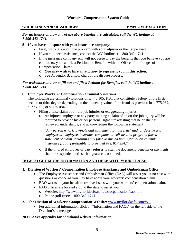#### **GUIDELINES AND RESOURCES**

#### **EMPLOYEE**

#### *For assistance on how any of the above benefits are calculated, call the WC hotline at 1-800-342-1741.*

#### **5. If you have a dispute with your insurance company:**

- First, try to talk about the problem with your adjuster or their supervisor.
- If you still need assistance, contact the WC hotline at 1-800-342-1741.
- If the insurance company still will not agree to pay the benefits that you believe you are entitled to, you can file a Petition for Benefits with the Office of the Judges of Compensation Claims.
	- o **You may wish to hire an attorney to represent you in this action.**
	- o See Appendix B, a flow chart of the dispute process.

#### *For assistance on how to fill out and file a Petition for Benefits, call the WC hotline at 1-800-342-1741.*

## **6. Employee Workers' Compensation Criminal Violations:**

The following are criminal violations of s. 440.105, F.S., that constitute a felony of the first, second or third degree depending on the monetary value of the fraud as provided in s. 775.082, s. 775.083, or s. 775.084, F.S.:

- Filing a false claim of on-the-job injuries or exaggerating injuries.
	- o An injured employee or any party making a claim of an on-the-job injury will be required to provide his or her personal signature attesting that he or she has reviewed, understands, and acknowledges the following statement:

*"Any person who, knowingly and with intent to injure, defraud, or deceive any employer or employee, insurance company, or self-insured program, files a statement of claim containing any false or misleading information commits insurance fraud, punishable as provided in s. 817.234."* 

o If the injured employee or party refuses to sign the document, benefits or payments shall be suspended until such signature is obtained.

## **HOW TO GET MORE INFORMATION AND HELP WITH YOUR CLAIM:**

- **1. Division of Workers' Compensation Employee Assistance and Ombudsman Office:**
	- The Employee Assistance and Ombudsman Office (EAO) will assist you at no cost with questions or concerns you may have about your workers' compensation claim.
	- EAO works on your behalf to resolve issues with your workers' compensation claim.
	- EAO offices are located around the state to assist you.
		- o Website: [http://www.myfloridacfo.com/wc/organization/eao.html](http://www.fldfs.com/wc/organization/eao.html)
		- o Phone (toll free): 1-800-342-1741
- **2. The Division of Workers' Compensation Website:** [www.myfloridacfo.com/WC](http://www.myfloridacfo.com/WC)
	- For additional information click on "Information and FAQs" on the left side of the Division's homepage.

#### **NOTE: See appendix for additional website information.**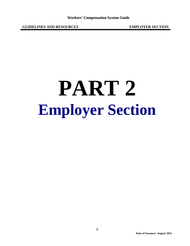# **PART 2 Employer Section**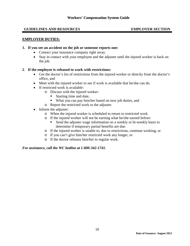#### **EMPLOYER DUTIES:**

#### **1. If you see an accident on the job or someone reports one:**

- Contact your insurance company right away.
- Stay in contact with your employee and the adjuster until the injured worker is back on the job.

#### **2**. **If the employee is released to work with restrictions:**

- Get the doctor's list of restrictions from the injured worker or directly from the doctor's office, and
- Meet with the injured worker to see if work is available that he/she can do.
- If restricted work is available:
	- o Discuss with the injured worker:
		- Starting time and date,
		- What you can pay him/her based on new job duties, and
	- o Report the restricted work to the adjuster.
- Inform the adjuster:
	- o When the injured worker is scheduled to return to restricted work.
	- o If the injured worker will not be earning what he/she earned before:
		- Send the adjuster wage information on a weekly or bi-weekly basis to determine if temporary partial benefits are due.
	- o If the injured worker is unable to, due to restrictions, continue working, or
	- o If you can't give him/her restricted work any longer, or
	- o If the doctor releases him/her to regular work.

#### *For assistance, call the WC hotline at 1-800-342-1741.*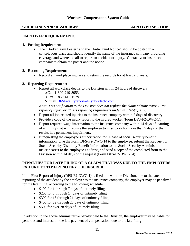#### **EMPLOYER REQUIREMENTS:**

#### **1. Posting Requirement:**

• The "Broken Arm Poster" and the "Anti-Fraud Notice" should be posted in a conspicuous place and should identify the name of the insurance company providing coverage and where to call to report an accident or injury. Contact your insurance company to obtain the poster and the notice.

#### **2. Recording Requirement:**

• Record all workplace injuries and retain the records for at least 2.5 years.

#### **3. Reporting Requirement:**

- Report all workplace deaths to the Division within 24 hours of discovery.
	- oCall 1-800-219-8953
	- oFax 1-850-413-1979

oEmail [DFSFatalityreport@myfloridacfo.com](mailto:DFSFatalityreport@myfloridacfo.com)

*Note: This notification to the Division does not replace the claim administrator First report of Injury or Illness reporting requirement under [440.185\(](http://www.leg.state.fl.us/Statutes/index.cfm?App_mode=Display_Statute&Search_String=&URL=0400-0499/0440/Sections/0440.185.html)2), F.S.*

- Report all job-related injuries to the insurance company within 7 days of discovery.
- Provide a copy of the injury report to the injured worker (Form DFS-F2-DWC-1).
- Report required wage information to the insurance company within 14 days of learning of an injury that will require the employee to miss work for more than 7 days or that results in a permanent impairment.
- If requesting the employee's authorization for release of social security benefit information, give the Form DFS-F2-DWC-14 to the employee, submit the Request for Social Security Disability Benefit Information to the Social Security Administration office nearest to the employee's address, and send a copy of the completed form to the Division within 14 days of the request (Form DFS-F2-DWC-14).

#### **PENALTIES FOR LATE FILING OF A CLAIM THAT WAS DUE TO THE EMPLOYERS FAILURE TO TIMELY NOTIFY THE INSURER:**

If the First Report of Injury (DFS-F2-DWC-1) is filed late with the Division, due to the late reporting of the accident by the employer to the insurance company, the employer may be penalized for the late filing, according to the following schedule:

- \$100 for 1 through 7 days of untimely filing.
- \$200 for 8 through 14 days of untimely filing.
- \$300 for 15 through 21 days of untimely filing.
- \$400 for 22 through 28 days of untimely filing.
- \$500 for over 28 days of untimely filing.

In addition to the above administrative penalty paid to the Division, the employer may be liable for penalties and interest on the late payment of compensation, due to the late filing.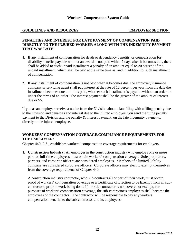#### **PENALTIES AND INTEREST FOR LATE PAYMENT OF COMPENSATION PAID DIRECTLY TO THE INJURED WORKER ALONG WITH THE INDEMNITY PAYMENT THAT WAS LATE:**

- **1.** If any installment of compensation for death or dependency benefits, or compensation for disability benefits payable without an award is not paid within 7 days after it becomes due, there shall be added to such unpaid installment a penalty of an amount equal to 20 percent of the unpaid installment, which shall be paid at the same time as, and in addition to, such installment of compensation.
- **2.** If any installment of compensation is not paid when it becomes due, the employer, insurance company or servicing agent shall pay interest at the rate of 12 percent per year from the date the installment becomes due until it is paid, whether such installment is payable without an order or under the terms of an order. The interest payment shall be the greater of the amount of interest due or \$5.

If you as an employer receive a notice from the Division about a late filing with a filing penalty due to the Division and penalties and interest due to the injured employee, you send the filing penalty payment to the Division and the penalty & interest payment, on the late indemnity payments, directly to the injured employee.

#### **WORKERS' COMPENSATION COVERAGE/COMPLIANCE REQUIREMENTS FOR THE EMPLOYER:**

Chapter 440, F.S., establishes workers' compensation coverage requirements for employers.

**1. Construction Industry:** An employer in the construction industry who employs one or more part- or full-time employees must obtain workers' compensation coverage. Sole proprietors, partners, and corporate officers are considered employees. Members of a limited liability company are considered corporate officers. Corporate officers may elect to exempt themselves from the coverage requirements of Chapter 440.

A construction industry contractor, who sub-contracts all or part of their work, must obtain proof of workers' compensation coverage or a Certificate of Election to be Exempt from all subcontractors, prior to work being done. If the sub-contractor is not covered or exempt, for purposes of workers' compensation coverage, the sub-contractor's employees shall become the employees of the contractor. The contractor will be responsible to pay any workers' compensation benefits to the sub-contractor and its employees.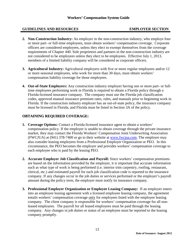- **2. Non-Construction Industry:** An employer in the non-construction industry, who employs four or more part- or full-time employees, must obtain workers' compensation coverage. Corporate officers are considered employees, unless they elect to exempt themselves from the coverage requirements of Chapter 440. Sole proprietors and partners in the non-construction industry are not considered to be employees unless they elect to be employees. Effective July 1, 2013, members of a limited liability company will be considered as corporate officers.
- **3. Agricultural Industry:** Agricultural employers with five or more regular employees and/or 12 or more seasonal employees, who work for more than 30 days, must obtain workers' compensation liability coverage for those employees.
- **4. Out-of-State Employers:** Any construction industry employer having one or more part- or fulltime employees performing work in Florida is required to obtain a Florida policy through a Florida-licensed insurance company. The company must use the Florida job classification codes, approved manual insurance premium rates, rules, and manuals prior to beginning work in Florida. If the construction industry employer has an out-of-state policy, the insurance company must be licensed in Florida, and Florida must be listed in Section 3A of the policy.

## **OBTAINING REQUIRED COVERAGE:**

- **1. Coverage Options:** Contact a Florida-licensed insurance agent to obtain a workers' compensation policy. If the employer is unable to obtain coverage through the private insurance market, they may contact the Florida Workers' Compensation Joint Underwriting Association (FWCJUA) at (941) 378-7400 or go to their website at [www.fwcjua.com.](http://www.fwcjua.com/) The employer may also consider leasing employees from a Professional Employer Organization or PEO. In this circumstance, the PEO becomes the employer and provides workers' compensation coverage to each employee who is paid by the leasing PEO.
- **2. Accurate Employer Job Classification and Payroll:** Since workers' compensation premiums are based on the information provided by the employer, it is important that accurate information such as what type of work is being performed (i.e. interior trim carpentry, roofing, restaurant, clerical, etc.) and estimated payroll for each job classification code is reported to the insurance company. If any changes occur in the job duties or services performed or the employer's payroll amount during the policy term, the employer must notify its insurance company.
- **3. Professional Employer Organization or Employee Leasing Company:** If an employer enters into an employee leasing agreement with a licensed employee leasing company, the agreement entails workers' compensation coverage only for employees listed with the employee leasing company. The client company is responsible for workers' compensation coverage for all nonleased employees. The payroll for all leased employees must be paid through the leasing company. Any changes in job duties or status of an employee must be reported to the leasing company promptly.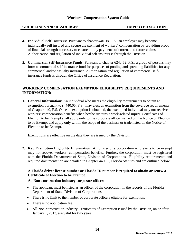- **4. Individual Self Insurers:** Pursuant to chapter 440.38, F.S**.,** an employer may become individually self insured and secure the payment of workers' compensation by providing proof of financial strength necessary to ensure timely payments of current and future claims. Authorization and regulation of individual self insurers is through the Division.
- **5. Commercial Self-Insurance Funds:** Pursuant to chapter 624.462, F.S**.,** a group of persons may form a commercial self-insurance fund for purposes of pooling and spreading liabilities for any commercial and/or casualty insurance. Authorization and regulation of commercial selfinsurance funds is through the Office of Insurance Regulation.

## **WORKERS' COMPENSATION EXEMPTION ELIGIBILITY REQUIREMENTS AND INFORMATION:**

**1. General Information:** An individual who meets the eligibility requirements to obtain an exemption pursuant to s. 440.05, F.S., may elect an exemption from the coverage requirements of Chapter 440, F.S. Once an exemption is obtained, the exempted individual may not receive workers' compensation benefits when he/she sustains a work-related injury. Certificates of Election to be Exempt shall apply only to the corporate officer named on the Notice of Election to be Exempt and apply only within the scope of the business or trade listed on the Notice of Election to be Exempt.

Exemptions are effective on the date they are issued by the Division.

**2. Key Exemption Eligibility Information:** An officer of a corporation who elects to be exempt may not recover workers' compensation benefits. Further, the corporation must be registered with the Florida Department of State, Division of Corporations. Eligibility requirements and required documentation are detailed in Chapter 440.05, Florida Statutes and are outlined below.

#### **A Florida driver license number or Florida ID number is required to obtain or renew a Certificate of Election to be Exempt.**

#### **A. Non-construction industry corporate officer:**

- The applicant must be listed as an officer of the corporation in the records of the Florida Department of State, Division of Corporations.
- There is no limit to the number of corporate officers eligible for exemption.
- There is no application fee.
- All Non-construction Industry Certificates of Exemption issued by the Division, on or after January 1, 2013, are valid for two years.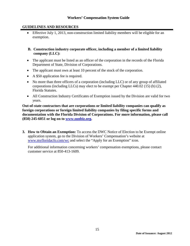## **GUIDELINES AND RESOURCES**

• Effective July 1, 2013, non-construction limited liability members will be eligible for an exemption.

## **B. Construction industry corporate officer, including a member of a limited liability company (LLC):**

- The applicant must be listed as an officer of the corporation in the records of the Florida Department of State, Division of Corporations.
- The applicant must own at least 10 percent of the stock of the corporation.
- A \$50 application fee is required.
- No more than three officers of a corporation (including LLC) or of any group of affiliated corporations (including LLCs) may elect to be exempt per Chapter [440.02 \(15\) \(b\) \(2\),](http://www.flsenate.gov/Statutes/index.cfm?App_mode=Display_Statute&Search_String=&URL=Ch0440/SEC02.HTM&Title=-%3e2004-%3eCh0440-%3eSection%2002#0440.02) Florida Statutes.
- All Construction Industry Certificates of Exemption issued by the Division are valid for two years.

**Out-of-state contractors that are corporations or limited liability companies can qualify as foreign corporations or foreign limited liability companies by filing specific forms and documentation with the Florida Division of Corporations. For more information, please call (850) 245-6051 or log on to [www.sunbiz.org.](http://www.sunbiz.org/)**

**3. How to Obtain an Exemption:** To access the DWC Notice of Election to be Exempt online application system, go to the Division of Workers' Compensation's website at [www.myfloridacfo.com/wc](http://www.myfloridacfo.com/wc) and select the "Apply for an Exemption" icon.

For additional information concerning workers' compensation exemptions, please contact customer service at 850-413-1609.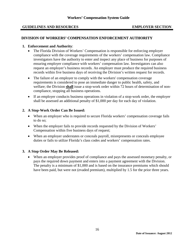#### **DIVISION OF WORKERS' COMPENSATION ENFORCEMENT AUTHORITY**

#### **1. Enforcement and Authority**:

- The Florida Division of Workers' Compensation is responsible for enforcing employer compliance with the coverage requirements of the workers' compensation law. Compliance investigators have the authority to enter and inspect any place of business for purposes of ensuring employer compliance with workers' compensation law. Investigators can also request an employer's business records. An employer must produce the required business records within five business days of receiving the Division's written request for records.
- The failure of an employer to comply with the workers' compensation coverage requirements is considered to pose an immediate danger to public health, safety, and welfare; the Division **shall** issue a stop-work order within 72 hours of determination of noncompliance, stopping all business operations.
- If an employer conducts business operations in violation of a stop-work order, the employer shall be assessed an additional penalty of \$1,000 per day for each day of violation.

#### **2. A Stop-Work Order Can Be Issued:**

- When an employer who is required to secure Florida workers' compensation coverage fails to do so;
- When the employer fails to provide records requested by the Division of Workers' Compensation within five business days of request;
- When an employer understates or conceals payroll, misrepresents or conceals employee duties or fails to utilize Florida's class codes and workers' compensation rates.

## **3. A Stop Order May Be Released:**

• When an employer provides proof of compliance and pays the assessed monetary penalty, or pays the required down payment and enters into a payment agreement with the Division. The penalty is a minimum of \$1,000 and is based on the insurance premiums which should have been paid, but were not (evaded premium), multiplied by 1.5 for the prior three years.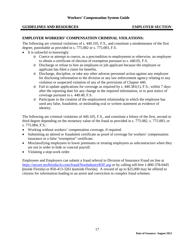#### **EMPLOYER WORKERS' COMPENSATION CRIMINAL VIOLATIONS:**

The following are criminal violations of s. 440.105, F.S., and constitute a misdemeanor of the first degree, punishable as provided in s. [775.082](http://www.leg.state.fl.us/statutes/index.cfm?App_mode=Display_Statute&Search_String=&URL=Ch0775/Sec082.HTM) or s. [775.083, F.S.](http://www.leg.state.fl.us/statutes/index.cfm?App_mode=Display_Statute&Search_String=&URL=Ch0775/Sec083.HTM)

- It is unlawful to knowingly:
	- o Coerce or attempt to coerce, as a precondition to employment or otherwise, an employee to obtain a certificate of election of exemption pursuant to s. [440.05, F.S.](http://www.leg.state.fl.us/statutes/index.cfm?App_mode=Display_Statute&Search_String=&URL=Ch0440/Sec05.HTM)
	- o Discharge or refuse to hire an employee or job applicant because the employee or applicant has filed a claim for benefits.
	- o Discharge, discipline, or take any other adverse personnel action against any employee for disclosing information to the division or any law enforcement agency relating to any violation or suspected violation of any of the provisions of Chapter 440.
	- $\circ$  Fail to update applications for coverage as required by s. [440.381\(](http://www.leg.state.fl.us/statutes/index.cfm?App_mode=Display_Statute&Search_String=&URL=Ch0440/Sec381.HTM)1), F.S., within 7 days after the reporting date for any change in the required information, or to post notice of coverage pursuant to s. [440.40, F.S.](http://www.leg.state.fl.us/statutes/index.cfm?App_mode=Display_Statute&Search_String=&URL=Ch0440/Sec40.HTM)
	- o Participate in the creation of the employment relationship in which the employee has used any false, fraudulent, or misleading oral or written statement as evidence of identity.

The following are criminal violations of 440.105, F.S., and constitute a felony of the first, second or third degree depending on the monetary value of the fraud as provided in s. [775.082,](http://www.leg.state.fl.us/statutes/index.cfm?App_mode=Display_Statute&Search_String=&URL=Ch0775/Sec082.HTM) s. [775.083,](http://www.leg.state.fl.us/statutes/index.cfm?App_mode=Display_Statute&Search_String=&URL=Ch0775/Sec083.HTM) or s. 775.084, F.S.:

- Working without workers' compensation coverage, if required.
- Submitting an altered or fraudulent certificate as proof of coverage for workers' compensation insurance or a false "exemption" certificate.
- Misclassifying employees to lower premiums or treating employees as subcontractors when they are not in order to hide or conceal payroll.
- Violating a stop-work order.

Employees and Employers can submit a fraud referral to Division of Insurance Fraud on line at [https://secure.myfloridacfo.com/fraud/NonIndustryRSF.asp](https://secure.fldfs.com/fraud/NonIndustryRSF.asp) or by calling toll-free 1-800-378-0445 **(**inside Florida) or 850-413-3261 **(**outside Florida). A reward of up to \$25,000 may be offered to citizens for information leading to an arrest and conviction in complex fraud schemes.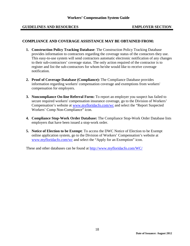#### **COMPLIANCE AND COVERAGE ASSISTANCE MAY BE OBTAINED FROM:**

- **1. Construction Policy Tracking Database**: The Construction Policy Tracking Database provides information to contractors regarding the coverage status of the contactors they use. This easy-to-use system will send contractors automatic electronic notification of any changes to their sub-contractors' coverage status. The only action required of the contractor is to register and list the sub-contractors for whom he/she would like to receive coverage notification.
- **2. Proof of Coverage Database (Compliance):** The Compliance Database provides information regarding workers' compensation coverage and exemptions from workers' compensation for employers.
- **3. Noncompliance On-line Referral Form:** To report an employer you suspect has failed to secure required workers' compensation insurance coverage, go to the Division of Workers' Compensation's website at [www.myfloridacfo.com/wc](http://www.myfloridacfo.com/wc) and select the "Report Suspected Workers' Comp Non-Compliance" icon.
- **4. Compliance Stop-Work Order Database:** The Compliance Stop-Work Order Database lists employers that have been issued a stop-work order.
- **5. Notice of Election to be Exempt**: To access the DWC Notice of Election to be Exempt online application system, go to the Division of Workers' Compensation's website at [www.myfloridacfo.com/wc](http://www.myfloridacfo.com/wc) and select the "Apply for an Exemption" icon.

These and other databases can be found at<http://www.myfloridacfo.com/WC/>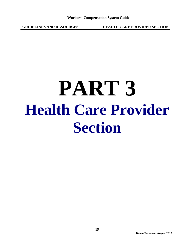**GUIDELINES AND RESOURCES HEALTH CARE PROVIDER SECTION**

## **PART 3 Health Care Provider Section**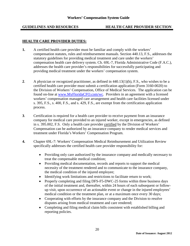#### **GUIDELINES AND RESOURCES HEALTH CARE PROVIDER SECTION**

## **HEALTH CARE PROVIDER DUTIES:**

- **1.** A certified health care provider must be familiar and comply with the workers' compensation statutes, rules and reimbursement manuals. Section 440.13, F.S., addresses the statutory guidelines for providing medical treatment and care under the workers' compensation health care delivery system. Ch. 69L-7, Florida Administrative Code (F.A.C.), addresses the health care provider's responsibilities for successfully participating and providing medical treatment under the workers' compensation system.
- **2**. A physician or recognized practitioner, as defined in 440.13(1)(h), F.S., who wishes to be a certified health care provider must submit a certification application (Form 3160-0020) to the Division of Workers' Compensation, Office of Medical Services. The application can be found on-line at [www.MyFloridaCFO.com/wc.](http://www.myfloridacfo.com/wc) Providers in an agreement with a licensed workers' compensation managed care arrangement and health care facilities licensed under s. 395, F.S., s. 400, F.S., and s. 429, F.S., are exempt from the certification application process.
- **3**. Certification is required for a health care provider to receive payment from an insurance company for medical care provided to an injured worker, except in emergencies, as defined in s. 395.002, F.S. Only a health care provider certified by the Division of Workers' Compensation can be authorized by an insurance company to render medical services and treatment under Florida's Workers' Compensation Program.
- **4.** [Chapter 69L-7: Workers' Compensation Medical Reimbursement and Utilization](http://www.flrules.org/gateway/ChapterHome.asp?Chapter=69L-7) Review specifically addresses the certified health care provider responsibility for:
	- Providing only care authorized by the insurance company and medically necessary to treat the compensable medical condition;
	- Providing medical documentation, records and reports to support the medical necessity of the treatment rendered and to communicate to the insurance company, the medical condition of the injured employee;
	- Identifying work limitations and restrictions to facilitate return to work;
	- Properly completing and filing DFS-F5-DWC-25 forms within three business days of the initial treatment and, thereafter, within 24 hours of each subsequent or followup visit, upon occurrence of an actionable event or change in the injured employees' medical condition or the treatment plan, or at a maximum once every 30 days;
	- Cooperating with efforts by the insurance company and the Division to resolve disputes arising from medical treatment and care rendered;
	- Completing and filing medical claim bills consistent with established billing and reporting policies.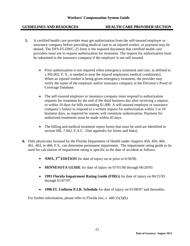#### **GUIDELINES AND RESOURCES HEALTH CARE PROVIDER SECTION SECTION**

- **5.** A certified health care provider must get authorization from the self-insured employer or insurance company before providing medical care to an injured worker, or payment may be denied. The DFS-F5-DWC-25 form is the required document that certified health care providers must use to request authorization for treatment. The request for authorization must be submitted to the insurance company if the employer is not self-insured.
	- Prior authorization is not required when emergency treatment and care, as defined in s.395.002, F. S., is needed to treat the injured employees medical condition(s). When an injured worker is being given emergency treatment, the provider may verify the name of the employer and/or insurance company in the Division's Proof of Coverage Database.
	- The self-insured employer or insurance company must respond to authorization requests for treatment by the end of the third business day after receiving a request, or within 10 days for bills exceeding \$1,000. A self-insured employer or insurance company's failure to respond to a written request for authorization within 3 or 10 business days, as required by statute, will constitute authorization. Payment for authorized treatments must be made within 45 days.
	- The billing and medical treatment report forms that must be used are identified in section 69L-7.602, F.A.C. (See appendix for forms and links).
- **6.** Only physicians licensed by the Florida Department of Health under chapters 458, 459, 460, 461, 463, or 466, F.S., can determine permanent impairment. The impairment rating guide to be used for calculation of impairment rating is specific to the date of accident as follows:
	- **AMA, 3<sup>rd</sup> <b>EDITION** for date of injury on or prior to 6/30/90.
	- **MINNESOTA GUIDE** for date of injury on 07/01/90 through 06/20/93
	- **1993 Florida Impairment Rating Guide (FIRG)** for date of injury on 06/21/93 through 01/07/97*.*
	- **1996 FL Uniform P.I.R. Schedule** for date of injury on 01/08/97 and thereafter*.*

For further information, please refer to Florida law, s. 440.15(3)(b).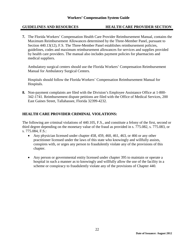#### **GUIDELINES AND RESOURCES HEALTH CARE PROVIDER SECTION**

**7.** The Florida Workers' Compensation Health Care Provider Reimbursement Manual, contains the Maximum Reimbursement Allowances determined by the Three-Member Panel, pursuant to Section 440.13(12), F.S. The Three-Member Panel establishes reimbursement policies, guidelines, codes and maximum reimbursement allowances for services and supplies provided by health care providers. The manual also includes payment policies for pharmacists and medical suppliers.

Ambulatory surgical centers should use the Florida Workers' Compensation Reimbursement Manual for Ambulatory Surgical Centers.

Hospitals should follow the Florida Workers' Compensation Reimbursement Manual for Hospitals.

**8.** Non-payment complaints are filed with the Division's Employee Assistance Office at 1-800- 342-1741. Reimbursement dispute petitions are filed with the Office of Medical Services, 200 East Gaines Street, Tallahassee, Florida 32399-4232.

#### **HEALTH CARE PROVIDER CRIMINAL VIOLATIONS:**

The following are criminal violations of 440.105, F.S., and constitute a felony of the first, second or third degree depending on the monetary value of the fraud as provided in s. [775.082,](http://www.leg.state.fl.us/statutes/index.cfm?App_mode=Display_Statute&Search_String=&URL=Ch0775/Sec082.HTM) s. [775.083,](http://www.leg.state.fl.us/statutes/index.cfm?App_mode=Display_Statute&Search_String=&URL=Ch0775/Sec083.HTM) or s. 775.084, F.S.:

- Any physician licensed under chapter 458, 459, 460, 461, 463, or 466 or any other practitioner licensed under the laws of this state who knowingly and willfully assists, conspires with, or urges any person to fraudulently violate any of the provisions of this chapter.
- Any person or governmental entity licensed under chapter 395 to maintain or operate a hospital in such a manner as to knowingly and willfully allow the use of the facility in a scheme or conspiracy to fraudulently violate any of the provisions of Chapter 440.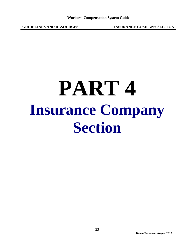**GUIDELINES AND RESOURCES INSURANCE COMPANY SECTION**

## **PART 4 Insurance Company Section**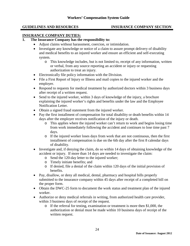#### **GUIDELINES AND RESOURCES INSURANCE COMPANY SECTION**

#### **INSURANCE COMPANY DUTIES:**

## **1. The Insurance Company has the responsibility to:**

- Adjust claims without harassment, coercion, or intimidation.
- Investigate any knowledge or notice of a claim to assure prompt delivery of disability and medical benefits to an injured worker and ensure an efficient and self-executing system.
	- o This knowledge includes, but is not limited to, receipt of any information, written or verbal, from any source reporting an accident or injury or requesting authorization to treat an injury.
- Electronically file policy information with the Division.
- File a First Report of Injury or Illness and mail copies to the injured worker and the employer.
- Respond to requests for medical treatment by authorized doctors within 3 business days after receipt of a written request.
- Send to the injured worker, within 3 days of knowledge of the injury, a brochure explaining the injured worker's rights and benefits under the law and the Employee Notification Letter.
- Obtain a signed fraud statement from the injured worker.
- Pay the first installment of compensation for total disability or death benefits within 14 days after the employer receives notification of the injury or death.
	- o This applies where the injured worker can't return to work and begins losing time from work immediately following the accident and continues to lose time past 7 days.
	- o If the injured worker loses days from work that are not continuous, then the first installment of compensation is due on the 6th day after the first 8 calendar days of disability.
- Investigate and, if denying the claim, do so within 14 days of obtaining knowledge of the accident or injury. If more than 14 days are needed to investigate the claim:
	- o Send the 120-day letter to the injured worker;
	- o Timely initiate benefits; and
	- o If denied, file a denial of the claim within 120 days of the initial provision of benefits.
- Pay, disallow, or deny all medical, dental, pharmacy and hospital bills properly submitted to the insurance company within 45 days after receipt of a completed bill on the proper form.
- Obtain the DWC-25 form to document the work status and treatment plan of the injured worker.
- Authorize or deny medical referrals in writing, from authorized health care provider, within 3 business days of receipt of the request.
	- o If the referral for testing, examination or treatment is more then \$1,000, the authorization or denial must be made within 10 business days of receipt of the written request.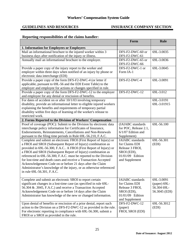## **GUIDELINES AND RESOURCES INSURANCE COMPANY SECTION**

## **Reporting responsibilities of the claims handler:**

|                                                                                                                                  | Form                            | <b>Rule</b>     |
|----------------------------------------------------------------------------------------------------------------------------------|---------------------------------|-----------------|
| 1. Information for Employees or Employers                                                                                        |                                 |                 |
| Mail an informational brochure to the injured worker within 3                                                                    | DFS-F2-DWC-60 or                | 69L-3.0035      |
| business days after notification of the injury or illness.                                                                       | DFS-F2-DWC-61                   |                 |
| Annually mail an informational brochure to the employer.                                                                         | DFS-F2-DWC-65 or                | 69L-3.0036      |
|                                                                                                                                  | DFS-F2-DWC-66                   |                 |
| Provide a paper copy of the injury report to the worker and                                                                      | DFS-F2-DWC-1 or                 | 69L-3.0045      |
| employer within three days when notified of an injury by phone or                                                                | Form IA-1                       |                 |
| electronic data interchange (EDI)                                                                                                |                                 |                 |
| Provide a paper copy of the form DFS-F2-DWC-4 (or letter if                                                                      | DFS-F2-DWC-4                    | 69L-3.0091      |
| applicable, pursuant to 69L-56 and the EDI Event Table) to the                                                                   |                                 |                 |
| employer and employee for actions or changes specified in rule.                                                                  |                                 |                 |
| Provide a paper copy of the form DFS-F2-DWC-12 to the employer                                                                   | DFS-F2-DWC-12                   | 69L-3.012       |
| and employee for any denial or rescission of benefits.                                                                           |                                 |                 |
| For dates of accident on or after 10/1/03 involving temporary                                                                    |                                 | 69L-3.0191      |
| disability, provide an informational letter to eligible injured workers                                                          |                                 | 69L-3.01915     |
| explaining the benefits and requirements of temporary partial                                                                    |                                 |                 |
| disability within five days of learning of the worker's release to                                                               |                                 |                 |
| restricted work.                                                                                                                 |                                 |                 |
| 2. Forms Reported to the Division of Workers' Compensation                                                                       |                                 |                 |
| Proof of coverage (POC): Submit to the Division by electronic data                                                               | (IAIABC standards)              | 69L-56.100      |
| interchange policy information for Certificates of Insurance,                                                                    | for POC, Release 2.1,           |                 |
| Endorsements, Reinstatements, Cancellations and Non-Renewals                                                                     | $6/1/07$ Edition and            |                 |
| pursuant to the filing time periods in Rule 69L-56.210, F.A.C.                                                                   | Supplement)                     |                 |
| Complete and submit an electronic FROI (First Report of Injury) or                                                               | <b>IAIABC</b> standards         | 69L-56.301      |
| a FROI and SROI (Subsequent Report of Injury) combination as                                                                     | for Claims EDI                  | (EDI)           |
| provided in 69L-56.300, F.A.C A FROI (First Report of Injury) or                                                                 | Release 3 FROI,                 |                 |
| a FROI and SROI (Subsequent Report of Injury) combination as                                                                     | SROI (EDI),<br>01/01/09 Edition |                 |
| referenced in 69L-56.300, F.A.C. must be reported to the Division                                                                |                                 |                 |
| for lost-time and death cases and receive a Transaction Accepted                                                                 | and Supplement                  |                 |
| Acknowledgement Code on or before 21 days after the Claim<br>Administrator's knowledge of the injury, or as otherwise referenced |                                 |                 |
| in rule 69L-56.301, F.A.C.                                                                                                       |                                 |                 |
|                                                                                                                                  |                                 |                 |
| Complete and submit an electronic SROI to report certain                                                                         | <b>IAIABC</b> standards         | 69L-3.0091      |
| significant changes in a lost-time case (as specified in rule 69L-                                                               | for Claims EDI                  | (paper) $69L -$ |
| 56.304 & .3045, F.A.C.) and receive a Transaction Accepted                                                                       | Release 3 FROI,                 | 56.304 69L-     |
| Acknowledgement Code on or before 14 days after the Claim                                                                        | SROI (EDI),                     | 56.3045 (EDI)   |
| Administrator has knowledge of the new or changed information.                                                                   | 01/01/09 Edition                |                 |
|                                                                                                                                  | and Supplement                  |                 |
| Upon denial of benefits or rescission of a prior denial, report such                                                             | DFS-F2-DWC-12                   | 69L-56.3012     |
| action to the Division on a DFS-F2-DWC-12 as provided in the rule.                                                               | (paper)                         | (EDI)           |
| For electronic reporting in compliance with 69L-56.300, submit a                                                                 | FROI, SROI (EDI)                |                 |
| FROI or a SROI as provided in the rule.                                                                                          |                                 |                 |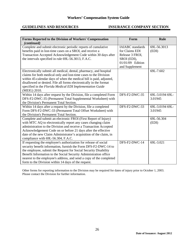#### **GUIDELINES AND RESOURCES INSURANCE COMPANY SECTION**

| Forms Reported to the Division of Workers' Compensation<br>(continued)                                                                                                                                                                                                                                                                                                                                   | Form                                                                                                              | Rule                       |
|----------------------------------------------------------------------------------------------------------------------------------------------------------------------------------------------------------------------------------------------------------------------------------------------------------------------------------------------------------------------------------------------------------|-------------------------------------------------------------------------------------------------------------------|----------------------------|
| Complete and submit electronic periodic reports of cumulative<br>benefits paid in lost-time cases on a SROI, and receive a<br>Transaction Accepted Acknowledgement Code within 30 days after<br>the intervals specified in rule 69L-56.3013, F.A.C.                                                                                                                                                      | <b>IAIABC</b> standards<br>for Claims EDI<br>Release 3 FROI,<br>SROI (EDI),<br>01/01/09 Edition<br>and Supplement | 69L-56.3013<br>(EDI)       |
| Electronically submit all medical, dental, pharmacy, and hospital<br>claims for both medical only and lost-time cases to the Division<br>within 45-calendar days of when the medical bill is paid, adjusted,<br>disallowed or denied. File all forms electronically in the format<br>specified in the Florida Medical EDI Implementation Guide<br>(MEIG) 2010.                                           |                                                                                                                   | 69L-7.602                  |
| Within 14 days after request by the Division, file a completed Form<br>DFS-F2-DWC-35 (Permanent Total Supplemental Worksheet) with<br>the Division's Permanent Total Section.                                                                                                                                                                                                                            | DFS-F2-DWC-35                                                                                                     | 69L-3.0194 69L-<br>3.01945 |
| Within 14 days after a request by the Division, file a completed<br>Form DFS-F2-DWC-33 (Permanent Total Offset Worksheet) with<br>the Division's Permanent Total Section.                                                                                                                                                                                                                                | DFS-F2-DWC-33                                                                                                     | 69L-3.0194 69L-<br>3.01945 |
| Complete and submit an electronic FROI (First Report of Injury)<br>with MTC AQ to electronically report any cases changing claim<br>administration to the Division and receive a Transaction Accepted<br>Acknowledgement Code on or before 21 days after the effective<br>date of the new Claim Administrator's acquisition of the claim, in<br>compliance with 69L-56.304, F.A.C.                       |                                                                                                                   | 69L-56.304<br>(EDI)        |
| If requesting the employee's authorization for release of social<br>security benefit information, furnish the Form DFS-F2-DWC-14 to<br>the employee, submit the Request for Social Security Disability<br>Benefit Information to the Social Security Administration office<br>nearest to the employee's address, and send a copy of the completed<br>form to the Division within 14 days of the request. | DFS-F2-DWC-14                                                                                                     | 69L-3.021                  |

Other forms for reporting information to the Division may be required for dates of injury prior to October 1, 2003. Please contact the Division for further information.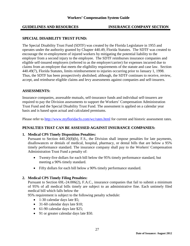#### **GUIDELINES AND RESOURCES INSURANCE COMPANY SECTION COMPANY SECTION**

#### **SPECIAL DISABILITY TRUST FUND:**

The Special Disability Trust Fund (SDTF) was created by the Florida Legislature in 1955 and operates under the authority granted by Chapter 440.49, Florida Statutes. The SDTF was created to encourage the re-employment of injured workers by mitigating the potential liability to the employer from a second injury to the employee. The SDTF reimburses insurance companies and eligible self-insured employers (referred to as the employer/carrier) for expenses incurred due to claims from an employee that meets the eligibility requirements of the statute and case law. Section 440.49(7), Florida Statutes, limits reimbursement to injuries occurring prior to January 1, 1998. Thus, the SDTF has been prospectively abolished; although, the SDTF continues to receive, review, accept, and reimburse eligible claims and levy assessments against companies and self-insurers.

#### **ASSESSMENTS:**

Insurance companies, assessable mutuals, self-insurance funds and individual self-insurers are required to pay the Division assessments to support the Workers' Compensation Administration Trust Fund and the Special Disability Trust Fund. The assessment is applied on a calendar year basis and is based upon actual and calculated premiums.

Please refer to<http://www.myfloridacfo.com/wc/rates.html> for current and historic assessment rates.

#### **PENALTIES THAT CAN BE ASSESSED AGAINST INSURANCE COMPANIES:**

#### **1. Medical CPS Timely Disposition Penalties:**

Pursuant to Section 440.20(8)(b), F.S., the Division shall impose penalties for late payments, disallowances or denials of medical, hospital, pharmacy, or dental bills that are below a 95% timely performance standard. The insurance company shall pay to the Workers' Compensation Administration Trust Fund a penalty of:

- Twenty-five dollars for each bill below the 95% timely performance standard, but meeting a 90% timely standard.
- Fifty dollars for each bill below a 90% timely performance standard.

#### **2. Medical CPS Timely Filing Penalties:**

Pursuant to Section 69L-24.006(2), F.A.C., insurance companies that fail to submit a minimum of 95% of all medical bills timely are subject to an administrative fine. Each untimely filed medical bill which falls below the

95% requirement is subject to the following penalty schedule:

- 1-30 calendar days late \$5;
- 31-60 calendar days late \$10;
- 61-90 calendar days late \$25;
- 91 or greater calendar days late \$50.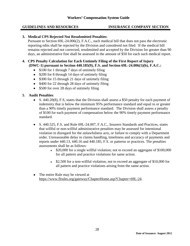#### **GUIDELINES AND RESOURCES INSURANCE COMPANY SECTION**

#### **3. Medical CPS Rejected Not Resubmitted Penalties**:

Pursuant to Section 69L-24.006(2), F.A.C., each medical bill that does not pass the electronic reporting edits shall be rejected by the Division and considered not filed. If the medical bill remains rejected and not corrected, resubmitted and accepted by the Division for greater than 90 days, an administrative fine shall be assessed in the amount of \$50 for each such medical report.

#### **4. CPS Penalty Calculation for Each Untimely Filing of the First Report of Injury (DWC-1) pursuant to Section 440.185(9), F.S. and Section 69L-24.006(1)(b), F.A.C.:**

- \$100 for 1 through 7 days of untimely filing
- \$200 for 8 through 14 days of untimely filing
- \$300 for 15 through 21 days of untimely filing
- \$400 for 22 through 28 days of untimely filing
- \$500 for over 28 days of untimely filing

## **5**. **Audit Penalties**:

- S. 440.20(8), F.S. states that the Division shall assess a \$50 penalty for each payment of indemnity that is below the minimum 95% performance standard and equal to or greater than a 90% timely payment performance standard. The Division shall assess a penalty of \$100 for each payment of compensation below the 90% timely payment performance standard.
- S. 440.525, F.S. and Rule 69L-24.007, F.A.C., Insurers Standards and Practices, states that willful or non-willful administrative penalties may be assessed for intentional violation in disregard for the unlawfulness acts, or failure to comply with a Department order. Unreasonable delay in claims handling, timeliness and accuracy of payments and reports under 440.13, 440.16 and 440.185, F.S. or patterns or practices. The penalties assessments shall be as follows:
	- $\bullet$  \$20,000 for a single willful violation; not to exceed an aggregate of \$100,000 for all pattern and practice violations for same action.
	- $\bullet$  \$2,500 for a non-willful violation, not to exceed an aggregate of \$10,000 for all pattern and practice violations arising from the same action.
- The entire Rule may be viewed at [https://www.flrules.org/gateway/ChapterHome.asp?Chapter=69L-24.](https://www.flrules.org/gateway/ChapterHome.asp?Chapter=69L-24)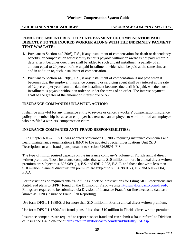#### **GUIDELINES AND RESOURCES**

#### **PENALTIES AND INTEREST FOR LATE PAYMENT OF COMPENSATION PAID DIRECTLY TO THE INJURED WORKER ALONG WITH THE INDEMNITY PAYMENT THAT WAS LATE:**

- **1.** Pursuant to Section 440.20(6), F.S., if any installment of compensation for death or dependency benefits, or compensation for disability benefits payable without an award is not paid within 7 days after it becomes due, there shall be added to such unpaid installment a penalty of an amount equal to 20 percent of the unpaid installment, which shall be paid at the same time as, and in addition to, such installment of compensation.
- **2.** Pursuant to Section 440.20(8), F.S., if any installment of compensation is not paid when it becomes due, the employer, insurance company or servicing agent shall pay interest at the rate of 12 percent per year from the date the installment becomes due until it is paid, whether such installment is payable without an order or under the terms of an order. The interest payment shall be the greater of the amount of interest due or \$5.

## **INSURANCE COMPANIES UNLAWFUL ACTION:**

It shall be unlawful for any insurance entity to revoke or cancel a workers' compensation insurance policy or membership because an employer has returned an employee to work or hired an employee who has filed a workers' compensation claim.

#### **INSURANCE COMPANIES ANTI-FRAUD RESPONSIBILITIES:**

Rule Chapter 69D-2, F.A.C. was adopted September 15, 2006, requiring insurance companies and health maintenance organizations (HMO) to file updated Special Investigations Unit (SIU Descriptions or anti-fraud plans pursuant to section 626.9891, F.S.

The type of filing required depends on the insurance company's volume of Florida annual direct written premium. Those insurance companies that write \$10 million or more in annual direct written premium are subject to s. 626.9891(1), F.S. and 69D-2.003, F.A.C. and those that write less than \$10 million in annual direct written premium are subject to s. 626.9891(2), F.S. and 69D-2.004, F.A.C.

For instructions on required anti-fraud filings, click on "Instructions for Filing SIU Descriptions and Anti-fraud plans to IFPR" found on the Division of Fraud website [http://myfloridacfo.com/fraud/.](http://myfloridacfo.com/fraud/) Filings are required to be submitted via Division of Insurance Fraud's on-line electronic database known as IFPR (Insurance Fraud Plan Reporting).

Use form DFS-L1-1689/SIU for more than \$10 million in Florida annual direct written premium.

Use form DFS-L1-1690/Anti-fraud plans if less than \$10 million in Florida direct written premium.

Insurance companies are required to report suspect fraud and can submit a fraud referral to Division of Insurance Fraud on-line at [https://secure.myfloridacfo.com/fraud/IndustryRSF.asp.](https://secure.fldfs.com/fraud/IndustryRSF.asp)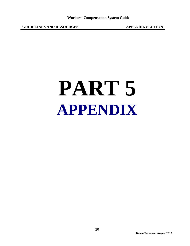**GUIDELINES AND RESOURCES APPENDIX SECTION**

# **PART 5 APPENDIX**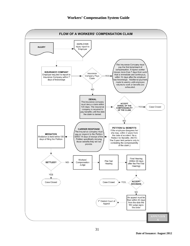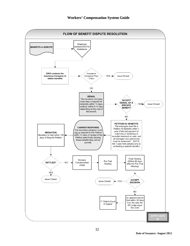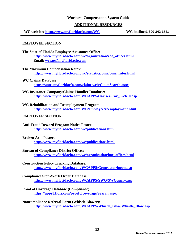#### **ADDITIONAL RESOURCES**

**WC website: <http://www.myfloridacfo.com/WC> WC hotline:1-800-342-1741**

#### **EMPLOYEE SECTION**

- **The State of Florida Employee Assistance Office: [http://www.myfloridacfo.com/wc/organization/eao\\_offices.html](http://www.fldfs.com/wc/organization/eao_offices.html) Email: [wceao@myfloridacfo.com](mailto:wceao@myfloridacfo.com)**
- **The Maximum Compensation Rates: [http://www.myfloridacfo.com/wc/statistics/bma/bma\\_rates.html](http://www.myfloridacfo.com/wc/statistics/bma/bma_rates.html)**
- **WC Claims Database: [https://apps.myfloridacfo.com/claimsweb/ClaimSearch.aspx](https://apps.fldfs.com/claimsweb/ClaimSearch.aspx)**
- **WC Insurance Company/Claims Handler Database: [http://www.myfloridacfo.com/WCAPPS/Carrier/Car\\_Srch10.asp](http://www.fldfs.com/WCAPPS/Carrier/Car_Srch10.asp)**
- **WC Rehabilitation and Reemployment Program: <http://www.myfloridacfo.com/WC/employee/reemployment.html>**

#### **EMPLOYER SECTION**

**Anti-Fraud Reward Program Notice Poster: [http://www.myfloridacfo.com/wc/publications.html](http://www.fldfs.com/wc/publications.html)**

#### **Broken Arm Poster:**

**[http://www.myfloridacfo.com/wc/publications.html](http://www.fldfs.com/wc/publications.html)**

#### **Bureau of Compliance District Offices:**

**[http://www.myfloridacfo.com/wc/organization/boc\\_offices.html](http://www.myfloridacfo.com/wc/organization/boc_offices.html)**

#### **Construction Policy Tracking Database:**

**<http://www.myfloridacfo.com/WCAPPS/Contractor/logon.asp>**

#### **Compliance Stop-Work Order Database:**

**<http://www.myfloridacfo.com/WCAPPS/SWO/SWOquery.asp>**

## **Proof of Coverage Database (Compliance):**

**<https://apps8.fldfs.com/proofofcoverage/Search.aspx>**

#### **Noncompliance Referral Form (Whistle Blower):**

**[http://www.myfloridacfo.com/WCAPPS/Whistle\\_Blow/Whistle\\_Blow.asp](http://www.myfloridacfo.com/WCAPPS/Whistle_Blow/Whistle_Blow.asp)**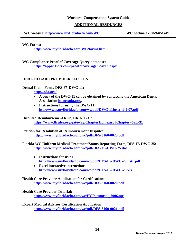#### **ADDITIONAL RESOURCES**

**WC website: <http://www.myfloridacfo.com/WC> WC hotline:1-800-342-1741**

**WC Forms:**

**<http://www.myfloridacfo.com/WC/forms.html>**

**WC Compliance Proof of Coverage Query database: <https://apps8.fldfs.com/proofofcoverage/Search.aspx>**

## **HEALTH CARE PROVIDER SECTION**

**Dental Claim Form, DFS-F5-DWC-11:** 

**<http://ada.org/>**

- **A copy of the DWC-11 can be obtained by contacting the American Dental Association [http://ada.org/.](http://ada.org/)**
- **Instructions for using the DWC-11 [http://www.myfloridacfo.com/wc/pdf/DWC-11instr\\_1-1-07.pdf](http://www.fldfs.com/wc/pdf/DWC-11instr_1-1-07.pdf)**

**Disputed Reimbursement Rule, Ch. 69L-31: <https://www.flrules.org/gateway/ChapterHome.asp?Chapter=69L-31>**

**Petition for Resolution of Reimbursement Dispute: <http://www.myfloridacfo.com/wc/pdf/DFS-3160-0023.pdf>**

**Florida WC Uniform Medical Treatment/Status Reporting Form, [DFS-F5-DWC-25:](http://www.fldfs.com/wc/pdf/DFS-F5-DWC-25.doc) <http://www.myfloridacfo.com/wc/pdf/DFS-F5-DWC-25.doc>**

- **Instructions for using: <http://www.myfloridacfo.com/wc/pdf/DFS-F5-DWC-25instr.pdf>**
- **Excel interactive instructions: <http://www.myfloridacfo.com/wc/pdf/DFS-F5-DWC-25.xls>**

#### **Health Care Provider Application for Certification: <http://www.myfloridacfo.com/wc/pdf/DFS-3160-0020.pdf>**

#### **Health Care Provider Tutorial:**

**[http://www.myfloridacfo.com/wc/HCP\\_tutorial\\_2006.pps](http://www.myfloridacfo.com/wc/HCP_tutorial_2006.pps)**

**Expert Medical Advisor Certification Application: <http://www.myfloridacfo.com/wc/pdf/DFS-3160-0021.pdf>**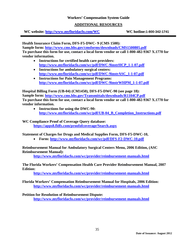#### **ADDITIONAL RESOURCES**

**WC website: <http://www.myfloridacfo.com/WC> WC hotline:1-800-342-1741**

**Health Insurance Claim Form, DFS-F5-DWC- 9 (CMS 1500):** 

**Sample form:<http://www.cms.hhs.gov/cmsforms/downloads/CMS1500805.pdf> To purchase this form for use, contact a local form vendor or call 1-800-482-9367 X.1770 for vendor information.**

- **Instructions for certified health care providers: [http://www.myfloridacfo.com/wc/pdf/DWC-9instrHCP\\_1-1-07.pdf](http://www.fldfs.com/wc/pdf/DWC-9instrHCP_1-1-07.pdf)**
- **Instructions for ambulatory surgical centers: [http://www.myfloridacfo.com/wc/pdf/DWC-9instrASC\\_1-1-07.pdf](http://www.fldfs.com/wc/pdf/DWC-9instrASC_1-1-07.pdf)**
- **Instructions for Pain Management Programs: [http://www.myfloridacfo.com/wc/pdf/DWC-9instrWHPM\\_1-1-07.pdf](http://www.fldfs.com/wc/pdf/DWC-9instrWHPM_1-1-07.pdf)**

**Hospital Billing Form (UB-04) (CM1450), DFS-F5-DWC-90 (see page 18): Sample form:<http://www.cms.hhs.gov/Transmittals/downloads/R1104CP.pdf> To purchase this form for use, contact a local form vendor or call 1-800-482-9367 X.1770 for vendor information.**

• **Instructions for using the DWC-90: [http://www.myfloridacfo.com/wc/pdf/UB-04\\_B\\_Completion\\_Instructions.pdf](http://www.fldfs.com/wc/pdf/UB-04_B_Completion_Instructions.pdf)**

**WC Compliance Proof of Coverage Query database: <https://apps8.fldfs.com/proofofcoverage/Search.aspx>**

**Statement of Charges for Drugs and Medical Supplies Form, DFS-F5-DWC-10,**

• **Form: [http://www.myfloridacfo.com/wc/pdf/DFS-F2-DWC-10.pdf](http://www.fldfs.com/wc/pdf/DFS-F2-DWC-10.pdf)**

**Reimbursement Manual for Ambulatory Surgical Centers Menu, 2006 Edition, (ASC Reimbursement Manual):** 

**<http://www.myfloridacfo.com/wc/provider/reimbursement-manuals.html>**

**The Florida Workers' Compensation Health Care Provider Reimbursement Manual, 2007 Edition:**

**<http://www.myfloridacfo.com/wc/provider/reimbursement-manuals.html>**

**Florida Workers' Compensation Reimbursement Manual for Hospitals, 2006 Edition: <http://www.myfloridacfo.com/wc/provider/reimbursement-manuals.html>**

**Petition for Resolution of Reimbursement Dispute: <http://www.myfloridacfo.com/wc/provider/reimbursement-manuals.html>**